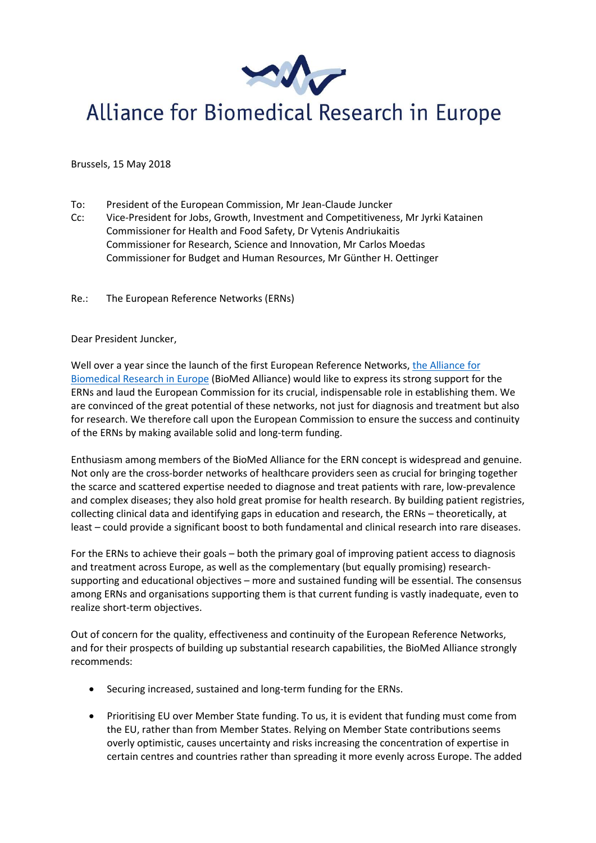

## Alliance for Biomedical Research in Europe

Brussels, 15 May 2018

- To: President of the European Commission, Mr Jean-Claude Juncker
- Cc: Vice-President for Jobs, Growth, Investment and Competitiveness, Mr Jyrki Katainen Commissioner for Health and Food Safety, Dr Vytenis Andriukaitis Commissioner for Research, Science and Innovation, Mr Carlos Moedas Commissioner for Budget and Human Resources, Mr Günther H. Oettinger
- Re.: The European Reference Networks (ERNs)

## Dear President Juncker,

Well over a year since the launch of the first European Reference Networks, [the Alliance for](https://www.biomedeurope.org/)  [Biomedical Research in Europe](https://www.biomedeurope.org/) (BioMed Alliance) would like to express its strong support for the ERNs and laud the European Commission for its crucial, indispensable role in establishing them. We are convinced of the great potential of these networks, not just for diagnosis and treatment but also for research. We therefore call upon the European Commission to ensure the success and continuity of the ERNs by making available solid and long-term funding.

Enthusiasm among members of the BioMed Alliance for the ERN concept is widespread and genuine. Not only are the cross-border networks of healthcare providers seen as crucial for bringing together the scarce and scattered expertise needed to diagnose and treat patients with rare, low-prevalence and complex diseases; they also hold great promise for health research. By building patient registries, collecting clinical data and identifying gaps in education and research, the ERNs – theoretically, at least – could provide a significant boost to both fundamental and clinical research into rare diseases.

For the ERNs to achieve their goals – both the primary goal of improving patient access to diagnosis and treatment across Europe, as well as the complementary (but equally promising) researchsupporting and educational objectives – more and sustained funding will be essential. The consensus among ERNs and organisations supporting them is that current funding is vastly inadequate, even to realize short-term objectives.

Out of concern for the quality, effectiveness and continuity of the European Reference Networks, and for their prospects of building up substantial research capabilities, the BioMed Alliance strongly recommends:

- Securing increased, sustained and long-term funding for the ERNs.
- Prioritising EU over Member State funding. To us, it is evident that funding must come from the EU, rather than from Member States. Relying on Member State contributions seems overly optimistic, causes uncertainty and risks increasing the concentration of expertise in certain centres and countries rather than spreading it more evenly across Europe. The added